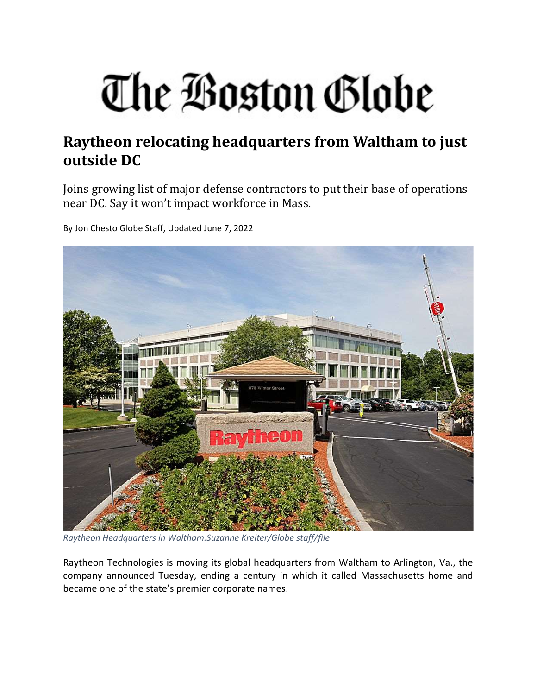## The Boston Globe

## Raytheon relocating headquarters from Waltham to just outside DC

Joins growing list of major defense contractors to put their base of operations near DC. Say it won't impact workforce in Mass.

By Jon Chesto Globe Staff, Updated June 7, 2022



Raytheon Headquarters in Waltham.Suzanne Kreiter/Globe staff/file

Raytheon Technologies is moving its global headquarters from Waltham to Arlington, Va., the company announced Tuesday, ending a century in which it called Massachusetts home and became one of the state's premier corporate names.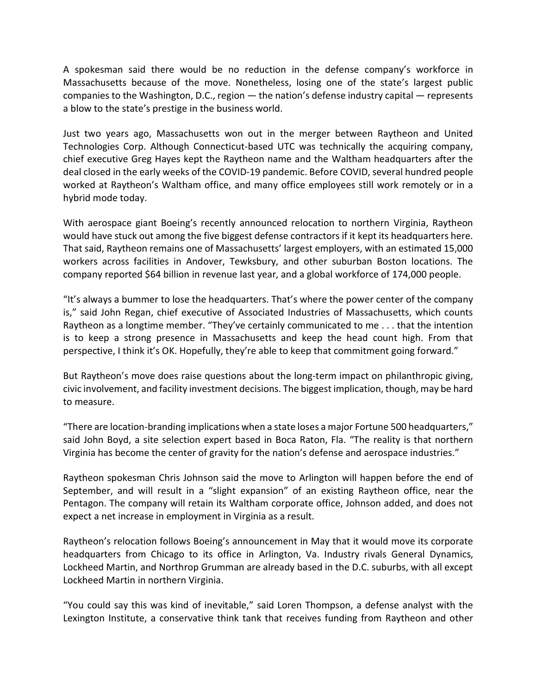A spokesman said there would be no reduction in the defense company's workforce in Massachusetts because of the move. Nonetheless, losing one of the state's largest public companies to the Washington, D.C., region — the nation's defense industry capital — represents a blow to the state's prestige in the business world.

Just two years ago, Massachusetts won out in the merger between Raytheon and United Technologies Corp. Although Connecticut-based UTC was technically the acquiring company, chief executive Greg Hayes kept the Raytheon name and the Waltham headquarters after the deal closed in the early weeks of the COVID-19 pandemic. Before COVID, several hundred people worked at Raytheon's Waltham office, and many office employees still work remotely or in a hybrid mode today.

With aerospace giant Boeing's recently announced relocation to northern Virginia, Raytheon would have stuck out among the five biggest defense contractors if it kept its headquarters here. That said, Raytheon remains one of Massachusetts' largest employers, with an estimated 15,000 workers across facilities in Andover, Tewksbury, and other suburban Boston locations. The company reported \$64 billion in revenue last year, and a global workforce of 174,000 people.

"It's always a bummer to lose the headquarters. That's where the power center of the company is," said John Regan, chief executive of Associated Industries of Massachusetts, which counts Raytheon as a longtime member. "They've certainly communicated to me . . . that the intention is to keep a strong presence in Massachusetts and keep the head count high. From that perspective, I think it's OK. Hopefully, they're able to keep that commitment going forward."

But Raytheon's move does raise questions about the long-term impact on philanthropic giving, civic involvement, and facility investment decisions. The biggest implication, though, may be hard to measure.

"There are location-branding implications when a state loses a major Fortune 500 headquarters," said John Boyd, a site selection expert based in Boca Raton, Fla. "The reality is that northern Virginia has become the center of gravity for the nation's defense and aerospace industries."

Raytheon spokesman Chris Johnson said the move to Arlington will happen before the end of September, and will result in a "slight expansion" of an existing Raytheon office, near the Pentagon. The company will retain its Waltham corporate office, Johnson added, and does not expect a net increase in employment in Virginia as a result.

Raytheon's relocation follows Boeing's announcement in May that it would move its corporate headquarters from Chicago to its office in Arlington, Va. Industry rivals General Dynamics, Lockheed Martin, and Northrop Grumman are already based in the D.C. suburbs, with all except Lockheed Martin in northern Virginia.

"You could say this was kind of inevitable," said Loren Thompson, a defense analyst with the Lexington Institute, a conservative think tank that receives funding from Raytheon and other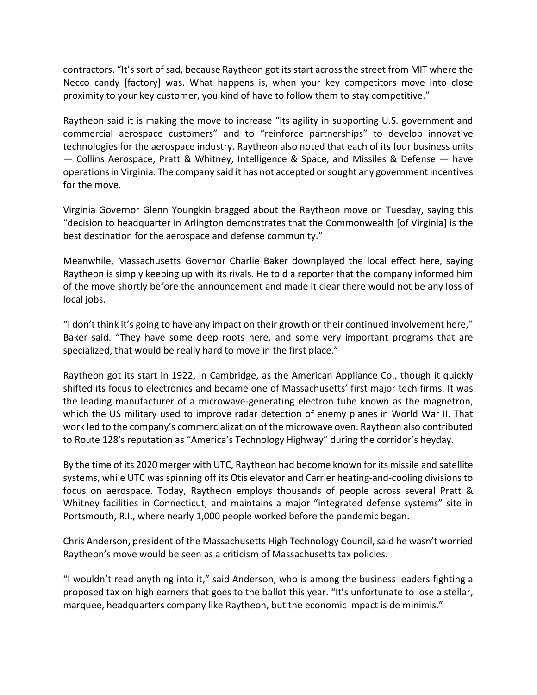contractors. "It's sort of sad, because Raytheon got its start across the street from MIT where the Necco candy [factory] was. What happens is, when your key competitors move into close proximity to your key customer, you kind of have to follow them to stay competitive."

Raytheon said it is making the move to increase "its agility in supporting U.S. government and commercial aerospace customers" and to "reinforce partnerships" to develop innovative technologies for the aerospace industry. Raytheon also noted that each of its four business units — Collins Aerospace, Pratt & Whitney, Intelligence & Space, and Missiles & Defense — have operations in Virginia. The company said it has not accepted or sought any government incentives for the move.

Virginia Governor Glenn Youngkin bragged about the Raytheon move on Tuesday, saying this "decision to headquarter in Arlington demonstrates that the Commonwealth [of Virginia] is the best destination for the aerospace and defense community."

Meanwhile, Massachusetts Governor Charlie Baker downplayed the local effect here, saying Raytheon is simply keeping up with its rivals. He told a reporter that the company informed him of the move shortly before the announcement and made it clear there would not be any loss of local jobs.

"I don't think it's going to have any impact on their growth or their continued involvement here," Baker said. "They have some deep roots here, and some very important programs that are specialized, that would be really hard to move in the first place."

Raytheon got its start in 1922, in Cambridge, as the American Appliance Co., though it quickly shifted its focus to electronics and became one of Massachusetts' first major tech firms. It was the leading manufacturer of a microwave-generating electron tube known as the magnetron, which the US military used to improve radar detection of enemy planes in World War II. That work led to the company's commercialization of the microwave oven. Raytheon also contributed to Route 128′s reputation as "America's Technology Highway" during the corridor's heyday.

By the time of its 2020 merger with UTC, Raytheon had become known for its missile and satellite systems, while UTC was spinning off its Otis elevator and Carrier heating-and-cooling divisions to focus on aerospace. Today, Raytheon employs thousands of people across several Pratt & Whitney facilities in Connecticut, and maintains a major "integrated defense systems" site in Portsmouth, R.I., where nearly 1,000 people worked before the pandemic began.

Chris Anderson, president of the Massachusetts High Technology Council, said he wasn't worried Raytheon's move would be seen as a criticism of Massachusetts tax policies.

"I wouldn't read anything into it," said Anderson, who is among the business leaders fighting a proposed tax on high earners that goes to the ballot this year. "It's unfortunate to lose a stellar, marquee, headquarters company like Raytheon, but the economic impact is de minimis."